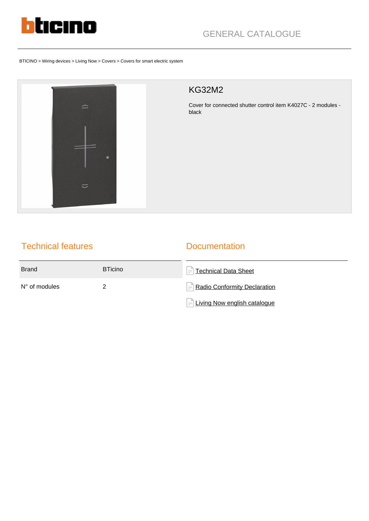

BTICINO > Wiring devices > Living Now > Covers > Covers for smart electric system



# KG32M2

Cover for connected shutter control item K4027C - 2 modules black

# Technical features

### **Documentation**

| <b>Brand</b>           | <b>BTicino</b> | $\left =\right $ Technical Data Sheet           |
|------------------------|----------------|-------------------------------------------------|
| $N^{\circ}$ of modules |                | $\left  = \right $ Radio Conformity Declaration |
|                        |                | $=$ Living Now english catalogue                |